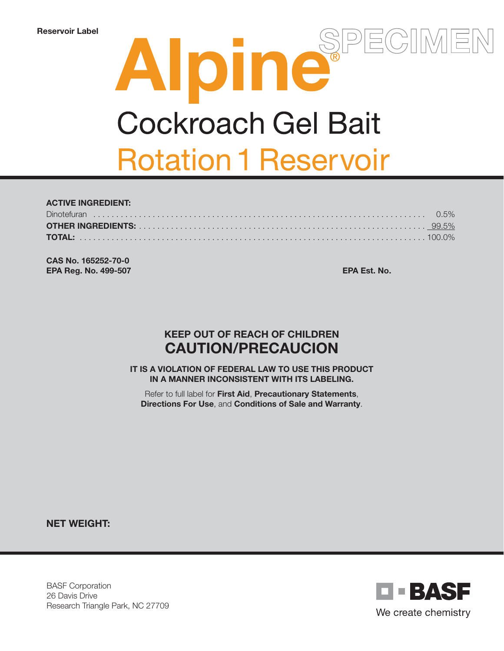# Alpine  $\overline{R}$ **Cockroach Gel Bait Rotation 1 Reservoir**

#### ACTIVE INGREDIENT: Dinotefuran . . . . . . . . . . . . . . . . . . . . . . . . . . . . . . . . . . . . . . . . . . . . . . . . . . . . . . . . . . . . . . . . . . . . . . . . . 0.5% OTHER INGREDIENTS: . . . . . . . . . . . . . . . . . . . . . . . . . . . . . . . . . . . . . . . . . . . . . . . . . . . . . . . . . . . . . . . 99.5% TOTAL: . . . . . . . . . . . . . . . . . . . . . . . . . . . . . . . . . . . . . . . . . . . . . . . . . . . . . . . . . . . . . . . . . . . . . . . . . . . . 100.0%

CAS No. 165252-70-0 EPA Reg. No. 499-507 EPA Est. No.

# KEEP OUT OF REACH OF CHILDREN CAUTION/PRECAUCION

IT IS A VIOLATION OF FEDERAL LAW TO USE THIS PRODUCT IN A MANNER INCONSISTENT WITH ITS LABELING.

Refer to full label for First Aid, Precautionary Statements, Directions For Use, and Conditions of Sale and Warranty.

NET WEIGHT:

BASF Corporation 26 Davis Drive Research Triangle Park, NC 27709

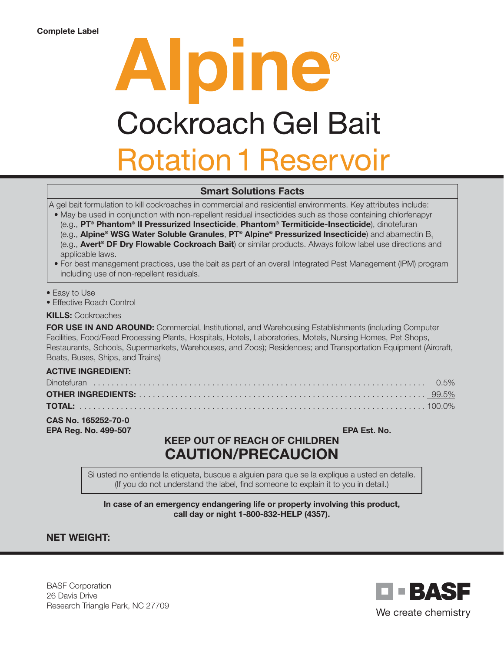# Alpine® **Cockroach Gel Bait Rotation 1 Reservoir**

### Smart Solutions Facts

A gel bait formulation to kill cockroaches in commercial and residential environments. Key attributes include:

- May be used in conjunction with non-repellent residual insecticides such as those containing chlorfenapyr (e.g., PT® Phantom® II Pressurized Insecticide, Phantom® Termiticide-Insecticide), dinotefuran (e.g., Alpine® WSG Water Soluble Granules, PT® Alpine® Pressurized Insecticide) and abamectin  $B_1$ (e.g., Avert® DF Dry Flowable Cockroach Bait) or similar products. Always follow label use directions and applicable laws.
- For best management practices, use the bait as part of an overall Integrated Pest Management (IPM) program including use of non-repellent residuals.

• Easy to Use

• Effective Roach Control

KILLS: Cockroaches

FOR USE IN AND AROUND: Commercial, Institutional, and Warehousing Establishments (including Computer Facilities, Food/Feed Processing Plants, Hospitals, Hotels, Laboratories, Motels, Nursing Homes, Pet Shops, Restaurants, Schools, Supermarkets, Warehouses, and Zoos); Residences; and Transportation Equipment (Aircraft, Boats, Buses, Ships, and Trains)

#### ACTIVE INGREDIENT:

CAS No. 165252-70-0 **EPA Reg. No. 499-507** EPA Est. No.

# KEEP OUT OF REACH OF CHILDREN CAUTION/PRECAUCION

Si usted no entiende la etiqueta, busque a alguien para que se la explique a usted en detalle. (If you do not understand the label, find someone to explain it to you in detail.)

In case of an emergency endangering life or property involving this product, call day or night 1-800-832-HELP (4357).

#### NET WEIGHT:

BASF Corporation 26 Davis Drive Research Triangle Park, NC 27709

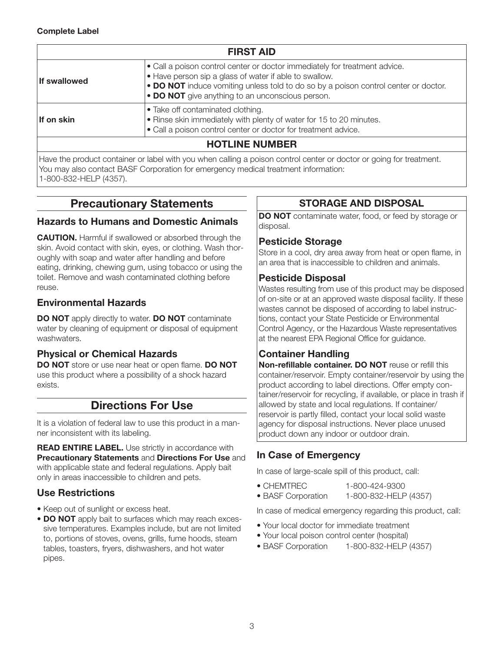| <b>FIRST AID</b>      |                                                                                                                                                                                                                                                                                                 |  |
|-----------------------|-------------------------------------------------------------------------------------------------------------------------------------------------------------------------------------------------------------------------------------------------------------------------------------------------|--|
| If swallowed          | $\bullet$ Call a poison control center or doctor immediately for treatment advice.<br>$\bullet$ Have person sip a glass of water if able to swallow.<br>• DO NOT induce vomiting unless told to do so by a poison control center or doctor.<br>• DO NOT give anything to an unconscious person. |  |
| If on skin            | $\bullet$ Take off contaminated clothing.<br>$\cdot$ Rinse skin immediately with plenty of water for 15 to 20 minutes.<br>• Call a poison control center or doctor for treatment advice.                                                                                                        |  |
| <b>HOTLINE NUMBER</b> |                                                                                                                                                                                                                                                                                                 |  |

Have the product container or label with you when calling a poison control center or doctor or going for treatment. You may also contact BASF Corporation for emergency medical treatment information: 1-800-832-HELP (4357).

# Precautionary Statements

#### Hazards to Humans and Domestic Animals

CAUTION. Harmful if swallowed or absorbed through the skin. Avoid contact with skin, eyes, or clothing. Wash thoroughly with soap and water after handling and before eating, drinking, chewing gum, using tobacco or using the toilet. Remove and wash contaminated clothing before reuse.

# Environmental Hazards

**DO NOT** apply directly to water. **DO NOT** contaminate water by cleaning of equipment or disposal of equipment washwaters.

# Physical or Chemical Hazards

DO NOT store or use near heat or open flame. DO NOT use this product where a possibility of a shock hazard exists.

# Directions For Use

It is a violation of federal law to use this product in a manner inconsistent with its labeling.

**READ ENTIRE LABEL.** Use strictly in accordance with Precautionary Statements and Directions For Use and with applicable state and federal regulations. Apply bait only in areas inaccessible to children and pets.

# Use Restrictions

- Keep out of sunlight or excess heat.
- DO NOT apply bait to surfaces which may reach excessive temperatures. Examples include, but are not limited to, portions of stoves, ovens, grills, fume hoods, steam tables, toasters, fryers, dishwashers, and hot water pipes.

# STORAGE AND DISPOSAL

DO NOT contaminate water, food, or feed by storage or disposal.

### Pesticide Storage

Store in a cool, dry area away from heat or open flame, in an area that is inaccessible to children and animals.

# Pesticide Disposal

Wastes resulting from use of this product may be disposed of on-site or at an approved waste disposal facility. If these wastes cannot be disposed of according to label instructions, contact your State Pesticide or Environmental Control Agency, or the Hazardous Waste representatives at the nearest EPA Regional Office for guidance.

# Container Handling

Non-refillable container. DO NOT reuse or refill this container/reservoir. Empty container/reservoir by using the product according to label directions. Offer empty container/reservoir for recycling, if available, or place in trash if allowed by state and local regulations. If container/ reservoir is partly filled, contact your local solid waste agency for disposal instructions. Never place unused product down any indoor or outdoor drain.

# In Case of Emergency

In case of large-scale spill of this product, call:

- CHEMTREC 1-800-424-9300
- BASF Corporation 1-800-832-HELP (4357)

In case of medical emergency regarding this product, call:

- Your local doctor for immediate treatment
- Your local poison control center (hospital)
- BASF Corporation 1-800-832-HELP (4357)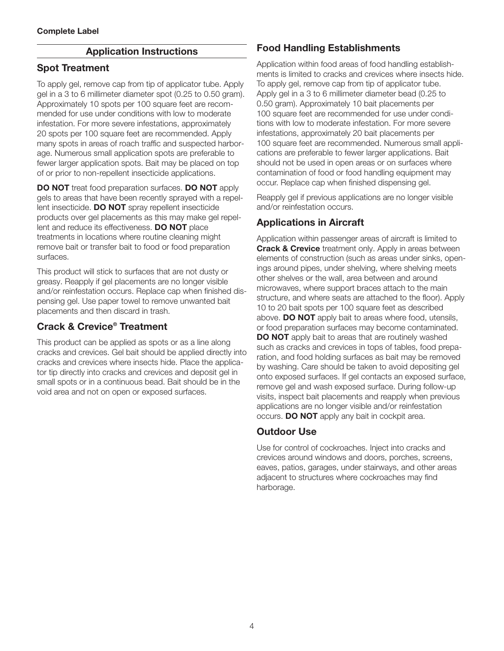#### Application Instructions

#### Spot Treatment

To apply gel, remove cap from tip of applicator tube. Apply gel in a 3 to 6 millimeter diameter spot (0.25 to 0.50 gram). Approximately 10 spots per 100 square feet are recommended for use under conditions with low to moderate infestation. For more severe infestations, approximately 20 spots per 100 square feet are recommended. Apply many spots in areas of roach traffic and suspected harborage. Numerous small application spots are preferable to fewer larger application spots. Bait may be placed on top of or prior to non-repellent insecticide applications.

DO NOT treat food preparation surfaces. DO NOT apply gels to areas that have been recently sprayed with a repellent insecticide. DO NOT spray repellent insecticide products over gel placements as this may make gel repellent and reduce its effectiveness. DO NOT place treatments in locations where routine cleaning might remove bait or transfer bait to food or food preparation surfaces.

This product will stick to surfaces that are not dusty or greasy. Reapply if gel placements are no longer visible and/or reinfestation occurs. Replace cap when finished dispensing gel. Use paper towel to remove unwanted bait placements and then discard in trash.

#### Crack & Crevice® Treatment

This product can be applied as spots or as a line along cracks and crevices. Gel bait should be applied directly into cracks and crevices where insects hide. Place the applicator tip directly into cracks and crevices and deposit gel in small spots or in a continuous bead. Bait should be in the void area and not on open or exposed surfaces.

# Food Handling Establishments

Application within food areas of food handling establishments is limited to cracks and crevices where insects hide. To apply gel, remove cap from tip of applicator tube. Apply gel in a 3 to 6 millimeter diameter bead (0.25 to 0.50 gram). Approximately 10 bait placements per 100 square feet are recommended for use under conditions with low to moderate infestation. For more severe infestations, approximately 20 bait placements per 100 square feet are recommended. Numerous small applications are preferable to fewer larger applications. Bait should not be used in open areas or on surfaces where contamination of food or food handling equipment may occur. Replace cap when finished dispensing gel.

Reapply gel if previous applications are no longer visible and/or reinfestation occurs.

### Applications in Aircraft

Application within passenger areas of aircraft is limited to **Crack & Crevice** treatment only. Apply in areas between elements of construction (such as areas under sinks, openings around pipes, under shelving, where shelving meets other shelves or the wall, area between and around microwaves, where support braces attach to the main structure, and where seats are attached to the floor). Apply 10 to 20 bait spots per 100 square feet as described above. **DO NOT** apply bait to areas where food, utensils, or food preparation surfaces may become contaminated. **DO NOT** apply bait to areas that are routinely washed such as cracks and crevices in tops of tables, food preparation, and food holding surfaces as bait may be removed by washing. Care should be taken to avoid depositing gel onto exposed surfaces. If gel contacts an exposed surface, remove gel and wash exposed surface. During follow-up visits, inspect bait placements and reapply when previous applications are no longer visible and/or reinfestation occurs. DO NOT apply any bait in cockpit area.

#### Outdoor Use

Use for control of cockroaches. Inject into cracks and crevices around windows and doors, porches, screens, eaves, patios, garages, under stairways, and other areas adjacent to structures where cockroaches may find harborage.